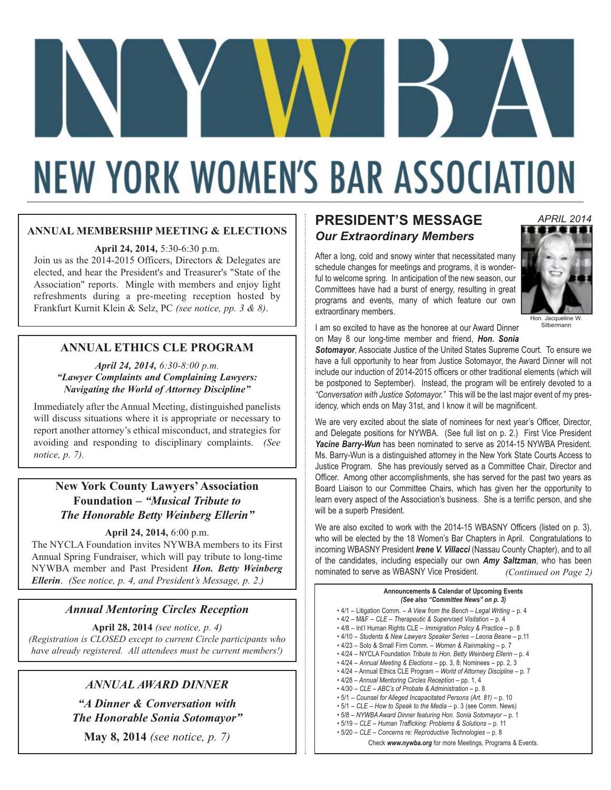# **NEW YORK WOMEN'S BAR ASSOCIATION**

#### **ANNUAL MEMBERSHIP MEETING & ELECTIONS**

**April 24, 2014,** 5:30-6:30 p.m.

Join us as the 2014-2015 Officers, Directors & Delegates are elected, and hear the President's and Treasurer's "State of the Association" reports. Mingle with members and enjoy light refreshments during a pre-meeting reception hosted by Frankfurt Kurnit Klein & Selz, PC *(see notice, pp. 3 & 8)*.

#### **ANNUAL ETHICS CLE PROGRAM**

*April 24, 2014, 6:30-8:00 p.m. "Lawyer Complaints and Complaining Lawyers: Navigating the World of Attorney Discipline"*

Immediately after the Annual Meeting, distinguished panelists will discuss situations where it is appropriate or necessary to report another attorney's ethical misconduct, and strategies for avoiding and responding to disciplinary complaints. *(See notice, p. 7).*

#### **New York County Lawyers' Association Foundation –** *"Musical Tribute to The Honorable Betty Weinberg Ellerin"*

#### **April 24, 2014,** 6:00 p.m.

The NYCLA Foundation invites NYWBA members to its First Annual Spring Fundraiser, which will pay tribute to long-time NYWBA member and Past President *Hon. Betty Weinberg Ellerin*. *(See notice, p. 4, and President's Message, p. 2.)*

#### *Annual Mentoring Circles Reception*

**April 28, 2014** *(see notice, p. 4) (Registration is CLOSED except to current Circle participants who have already registered. All attendees must be current members!)*

### *ANNUAL AWARD DINNER*

*"A Dinner & Conversation with The Honorable Sonia Sotomayor"*

**May 8, 2014** *(see notice, p. 7)*

# **PRESIDENT'S MESSAGE** *Our Extraordinary Members*

After a long, cold and snowy winter that necessitated many schedule changes for meetings and programs, it is wonderful to welcome spring. In anticipation of the new season, our Committees have had a burst of energy, resulting in great programs and events, many of which feature our own extraordinary members.



Silbermann

I am so excited to have as the honoree at our Award Dinner on May 8 our long-time member and friend, *Hon. Sonia*

*Sotomayor*, Associate Justice of the United States Supreme Court. To ensure we have a full opportunity to hear from Justice Sotomayor, the Award Dinner will not include our induction of 2014-2015 officers or other traditional elements (which will be postponed to September). Instead, the program will be entirely devoted to a *"Conversation with Justice Sotomayor."* This will be the last major event of my presidency, which ends on May 31st, and I know it will be magnificent.

We are very excited about the slate of nominees for next year's Officer, Director, and Delegate positions for NYWBA. (See full list on p. 2.) First Vice President *Yacine Barry-Wun* has been nominated to serve as 2014-15 NYWBA President. Ms. Barry-Wun is a distinguished attorney in the New York State Courts Access to Justice Program. She has previously served as a Committee Chair, Director and Officer. Among other accomplishments, she has served for the past two years as Board Liaison to our Committee Chairs, which has given her the opportunity to learn every aspect of the Association's business. She is a terrific person, and she will be a superb President.

We are also excited to work with the 2014-15 WBASNY Officers (listed on p. 3), who will be elected by the 18 Women's Bar Chapters in April. Congratulations to incoming WBASNY President *Irene V. Villacci* (Nassau County Chapter), and to all of the candidates, including especially our own *Amy Saltzman*, who has been nominated to serve as WBASNY Vice President. *(Continued on Page 2)*

| Announcements & Calendar of Upcoming Events<br>(See also "Committee News" on p. 3)                                                                                                                                                                                                                                                                                                                                                                                                                                                                                                                                                                                                                                                                                                                                                                                                                                                                                                                                                                                             |  |  |
|--------------------------------------------------------------------------------------------------------------------------------------------------------------------------------------------------------------------------------------------------------------------------------------------------------------------------------------------------------------------------------------------------------------------------------------------------------------------------------------------------------------------------------------------------------------------------------------------------------------------------------------------------------------------------------------------------------------------------------------------------------------------------------------------------------------------------------------------------------------------------------------------------------------------------------------------------------------------------------------------------------------------------------------------------------------------------------|--|--|
| $\cdot$ 4/1 – Litigation Comm. – A View from the Bench – Legal Writing – p. 4<br>• 4/2 - M&F - CLE - Therapeutic & Supervised Visitation - p. 4<br>• 4/8 - Int'l Human Rights CLE - Immigration Policy & Practice - p. 8<br>• 4/10 - Students & New Lawyers Speaker Series - Leona Beane - p.11<br>• 4/23 - Solo & Small Firm Comm. - Women & Rainmaking - p. 7<br>• 4/24 - NYCLA Foundation Tribute to Hon. Betty Weinberg Ellerin - p. 4<br>$\cdot$ 4/24 – Annual Meeting & Elections – pp. 3, 8; Nominees – pp. 2, 3<br>• 4/24 - Annual Ethics CLE Program - World of Attorney Discipline - p. 7<br>• 4/28 - Annual Mentoring Circles Reception - pp. 1, 4<br>• 4/30 - CLE - ABC's of Probate & Administration - p. 8<br>• 5/1 – Counsel for Alleged Incapacitated Persons (Art. 81) – p. 10<br>$\cdot$ 5/1 – CLE – How to Speak to the Media – p. 3 (see Comm. News)<br>• 5/8 - NYWBA Award Dinner featuring Hon. Sonia Sotomayor - p. 1<br>• 5/19 - CLE - Human Trafficking: Problems & Solutions - p. 11<br>• 5/20 - CLE - Concerns re: Reproductive Technologies - p. 8 |  |  |
| Check www.nywba.org for more Meetings, Programs & Events.                                                                                                                                                                                                                                                                                                                                                                                                                                                                                                                                                                                                                                                                                                                                                                                                                                                                                                                                                                                                                      |  |  |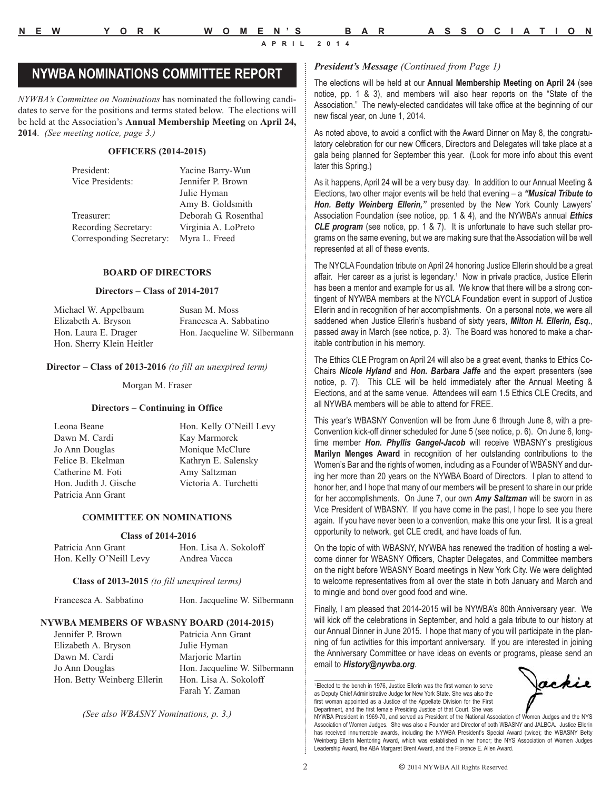# *President's Message (Continued from Page 1)* **NYWBA NOMINATIONS COMMITTEE REPORT**

*NYWBA's Committee on Nominations* has nominated the following candidates to serve for the positions and terms stated below. The elections will be held at the Association's **Annual Membership Meeting** on **April 24, 2014**. *(See meeting notice, page 3.)*

#### **OFFICERS (2014-2015)**

| President:               | Yacine Barry-Wun     |
|--------------------------|----------------------|
| Vice Presidents:         | Jennifer P. Brown    |
|                          | Julie Hyman          |
|                          | Amy B. Goldsmith     |
| Treasurer:               | Deborah G. Rosenthal |
| Recording Secretary:     | Virginia A. LoPreto  |
| Corresponding Secretary: | Myra L. Freed        |

#### **BOARD OF DIRECTORS**

#### **Directors – Class of 2014-2017**

| Michael W. Appelbaum      | Susan M. Moss                 |
|---------------------------|-------------------------------|
| Elizabeth A. Bryson       | Francesca A. Sabbatino        |
| Hon. Laura E. Drager      | Hon. Jacqueline W. Silbermann |
| Hon. Sherry Klein Heitler |                               |

#### **Director – Class of 2013-2016** *(to fill an unexpired term)*

Morgan M. Fraser

#### **Directors – Continuing in Office**

Leona Beane Hon. Kelly O'Neill Levy Dawn M. Cardi Kay Marmorek Jo Ann Douglas Monique McClure Felice B. Ekelman Kathryn E. Salensky Catherine M. Foti **Amy Saltzman**<br>
Hon. Judith J. Gische Victoria A. Ture Patricia Ann Grant

Victoria A. Turchetti

#### **COMMITTEE ON NOMINATIONS**

#### **Class of 2014-2016**

| Patricia Ann Grant      | Hon. Lisa A. Sokoloff |
|-------------------------|-----------------------|
| Hon. Kelly O'Neill Levy | Andrea Vacca          |

#### **Class of 2013-2015** *(to fill unexpired terms)*

Francesca A. Sabbatino Hon. Jacqueline W. Silbermann

#### **NYWBA MEMBERS OF WBASNY BOARD (2014-2015)**

Jennifer P. Brown Patricia Ann Grant Elizabeth A. Bryson Julie Hyman Dawn M. Cardi Marjorie Martin Hon. Betty Weinberg Ellerin Hon. Lisa A. Sokoloff

Jo Ann Douglas Hon. Jacqueline W. Silbermann Farah Y. Zaman

*(See also WBASNY Nominations, p. 3.)*

The elections will be held at our **Annual Membership Meeting on April 24** (see notice, pp. 1 & 3), and members will also hear reports on the "State of the Association." The newly-elected candidates will take office at the beginning of our new fiscal year, on June 1, 2014.

As noted above, to avoid a conflict with the Award Dinner on May 8, the congratulatory celebration for our new Officers, Directors and Delegates will take place at a gala being planned for September this year. (Look for more info about this event later this Spring.)

As it happens, April 24 will be a very busy day. In addition to our Annual Meeting & Elections, two other major events will be held that evening – a *"Musical Tribute to Hon. Betty Weinberg Ellerin,"* presented by the New York County Lawyers' Association Foundation (see notice, pp. 1 & 4), and the NYWBA's annual *Ethics CLE program* (see notice, pp. 1 & 7). It is unfortunate to have such stellar programs on the same evening, but we are making sure that the Association will be well represented at all of these events.

The NYCLA Foundation tribute on April 24 honoring Justice Ellerin should be a great affair. Her career as a jurist is legendary.<sup>1</sup> Now in private practice, Justice Ellerin has been a mentor and example for us all. We know that there will be a strong contingent of NYWBA members at the NYCLA Foundation event in support of Justice Ellerin and in recognition of her accomplishments. On a personal note, we were all saddened when Justice Ellerin's husband of sixty years, *Milton H. Ellerin, Esq.*, passed away in March (see notice, p. 3). The Board was honored to make a charitable contribution in his memory.

The Ethics CLE Program on April 24 will also be a great event, thanks to Ethics Co-Chairs *Nicole Hyland* and *Hon. Barbara Jaffe* and the expert presenters (see notice, p. 7). This CLE will be held immediately after the Annual Meeting & Elections, and at the same venue. Attendees will earn 1.5 Ethics CLE Credits, and all NYWBA members will be able to attend for FREE.

This year's WBASNY Convention will be from June 6 through June 8, with a pre-Convention kick-off dinner scheduled for June 5 (see notice, p. 6). On June 6, longtime member *Hon. Phyllis Gangel-Jacob* will receive WBASNY's prestigious **Marilyn Menges Award** in recognition of her outstanding contributions to the Women's Bar and the rights of women, including as a Founder of WBASNY and during her more than 20 years on the NYWBA Board of Directors. I plan to attend to honor her, and I hope that many of our members will be present to share in our pride for her accomplishments. On June 7, our own *Amy Saltzman* will be sworn in as Vice President of WBASNY. If you have come in the past, I hope to see you there again. If you have never been to a convention, make this one your first. It is a great opportunity to network, get CLE credit, and have loads of fun.

On the topic of with WBASNY, NYWBA has renewed the tradition of hosting a welcome dinner for WBASNY Officers, Chapter Delegates, and Committee members on the night before WBASNY Board meetings in New York City. We were delighted to welcome representatives from all over the state in both January and March and to mingle and bond over good food and wine.

Finally, I am pleased that 2014-2015 will be NYWBA's 80th Anniversary year. We will kick off the celebrations in September, and hold a gala tribute to our history at our Annual Dinner in June 2015. I hope that many of you will participate in the planning of fun activities for this important anniversary. If you are interested in joining the Anniversary Committee or have ideas on events or programs, please send an email to *History@nywba.org*.

<sup>&</sup>lt;sup>1</sup> Elected to the bench in 1976, Justice Ellerin was the first woman to serve as Deputy Chief Administrative Judge for New York State. She was also the first woman appointed as a Justice of the Appellate Division for the First Department, and the first female Presiding Justice of that Court. She was

NYWBA President in 1969-70, and served as President of the National Association of Women Judges and the NYS Association of Women Judges. She was also a Founder and Director of both WBASNY and JALBCA. Justice Ellerin has received innumerable awards, including the NYWBA President's Special Award (twice); the WBASNY Betty Weinberg Ellerin Mentoring Award, which was established in her honor; the NYS Association of Women Judges Leadership Award, the ABA Margaret Brent Award, and the Florence E. Allen Award.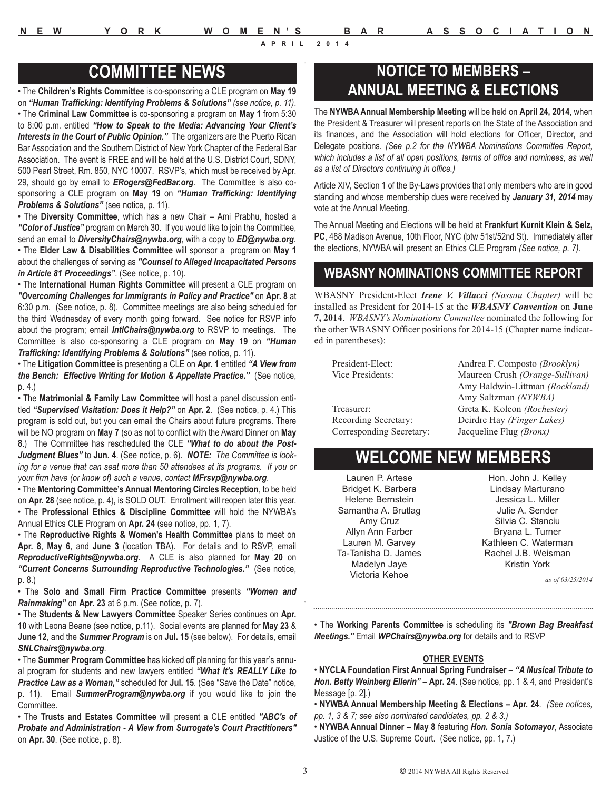• The **Children's Rights Committee** is co-sponsoring a CLE program on **May 19** on *"Human Trafficking: Identifying Problems & Solutions" (see notice, p. 11)*. • The **Criminal Law Committee** is co-sponsoring a program on **May 1** from 5:30 to 8:00 p.m. entitled *"How to Speak to the Media: Advancing Your Client's Interests in the Court of Public Opinion."* The organizers are the Puerto Rican Bar Association and the Southern District of New York Chapter of the Federal Bar Association. The event is FREE and will be held at the U.S. District Court, SDNY, 500 Pearl Street, Rm. 850, NYC 10007. RSVP's, which must be received by Apr. 29, should go by email to *ERogers@FedBar.org*. The Committee is also cosponsoring a CLE program on **May 19** on *"Human Trafficking: Identifying Problems & Solutions"* (see notice, p. 11).

• The **Diversity Committee**, which has a new Chair – Ami Prabhu, hosted a *"Color of Justice"* program on March 30. If you would like to join the Committee, send an email to *DiversityChairs@nywba.org*, with a copy to *ED@nywba.org*. • The **Elder Law & Disabilities Committee** will sponsor a program on **May 1** about the challenges of serving as *"Counsel to Alleged Incapacitated Persons in Article 81 Proceedings"*. (See notice, p. 10).

• The **International Human Rights Committee** will present a CLE program on *"Overcoming Challenges for Immigrants in Policy and Practice"* on **Apr. 8** at 6:30 p.m. (See notice, p. 8). Committee meetings are also being scheduled for the third Wednesday of every month going forward. See notice for RSVP info about the program; email *IntlChairs@nywba.org* to RSVP to meetings. The Committee is also co-sponsoring a CLE program on **May 19** on *"Human Trafficking: Identifying Problems & Solutions"* (see notice, p. 11).

• The **Litigation Committee** is presenting a CLE on **Apr. 1** entitled *"A View from the Bench: Effective Writing for Motion & Appellate Practice."* (See notice, p. 4.)

• The **Matrimonial & Family Law Committee** will host a panel discussion entitled *"Supervised Visitation: Does it Help?"* on **Apr. 2**. (See notice, p. 4.) This program is sold out, but you can email the Chairs about future programs. There will be NO program on **May 7** (so as not to conflict with the Award Dinner on **May 8**.) The Committee has rescheduled the CLE *"What to do about the Post-Judgment Blues"* to **Jun. 4**. (See notice, p. 6). *NOTE: The Committee is looking for a venue that can seat more than 50 attendees at its programs. If you or your firm have (or know of) such a venue, contact MFrsvp@nywba.org*.

• The **Mentoring Committee's Annual Mentoring Circles Reception**, to be held on **Apr. 28** (see notice, p. 4), is SOLD OUT. Enrollment will reopen later this year. • The **Professional Ethics & Discipline Committee** will hold the NYWBA's Annual Ethics CLE Program on **Apr. 24** (see notice, pp. 1, 7).

• The **Reproductive Rights & Women's Health Committee** plans to meet on **Apr. 8**, **May 6**, and **June 3** (location TBA). For details and to RSVP, email *ReproductiveRights@nywba.org*. A CLE is also planned for **May 20** on *"Current Concerns Surrounding Reproductive Technologies."* (See notice, p. 8.)

• The **Solo and Small Firm Practice Committee** presents *"Women and Rainmaking"* on **Apr. 23** at 6 p.m. (See notice, p. 7).

• The **Students & New Lawyers Committee** Speaker Series continues on **Apr. 10** with Leona Beane (see notice, p.11). Social events are planned for **May 23** & **June 12**, and the *Summer Program* is on **Jul. 15** (see below). For details, email *SNLChairs@nywba.org*.

• The **Summer Program Committee** has kicked off planning for this year's annual program for students and new lawyers entitled *"What It's REALLY Like to Practice Law as a Woman,"* scheduled for **Jul. 15**. (See "Save the Date" notice, p. 11). Email *SummerProgram@nywba.org* if you would like to join the Committee.

• The **Trusts and Estates Committee** will present a CLE entitled *"ABC's of Probate and Administration - A View from Surrogate's Court Practitioners"* on **Apr. 30**. (See notice, p. 8).

# **COMMITTEE NEWS COMMITTEE NEWS ANNUAL MEETING & ELECTIONS**

The **NYWBA Annual Membership Meeting** will be held on **April 24, 2014**, when the President & Treasurer will present reports on the State of the Association and its finances, and the Association will hold elections for Officer, Director, and Delegate positions. *(See p.2 for the NYWBA Nominations Committee Report, which includes a list of all open positions, terms of office and nominees, as well as a list of Directors continuing in office.)*

Article XIV, Section 1 of the By-Laws provides that only members who are in good standing and whose membership dues were received by *January 31, 2014* may vote at the Annual Meeting.

The Annual Meeting and Elections will be held at **Frankfurt Kurnit Klein & Selz, PC**, 488 Madison Avenue, 10th Floor, NYC (btw 51st/52nd St). Immediately after the elections, NYWBA will present an Ethics CLE Program *(See notice, p. 7).*

# **WBASNY NOMINATIONS COMMITTEE REPORT**

WBASNY President-Elect *Irene V. Villacci (Nassau Chapter)* will be installed as President for 2014-15 at the *WBASNY Convention* on **June 7, 2014**. *WBASNY's Nominations Committee* nominated the following for the other WBASNY Officer positions for 2014-15 (Chapter name indicated in parentheses):

Vice Presidents: Maureen Crush *(Orange-Sullivan)* Treasurer: Greta K. Kolcon *(Rochester)* Recording Secretary: Deirdre Hay *(Finger Lakes)*

President-Elect: Andrea F. Composto *(Brooklyn)* Amy Baldwin-Littman *(Rockland)* Amy Saltzman *(NYWBA)* Corresponding Secretary: Jacqueline Flug *(Bronx)*

# **WELCOME NEW MEMBERS**

Lauren P. Artese Bridget K. Barbera Helene Bernstein Samantha A. Brutlag Amy Cruz Allyn Ann Farber Lauren M. Garvey Ta-Tanisha D. James Madelyn Jaye Victoria Kehoe

Hon. John J. Kelley Lindsay Marturano Jessica L. Miller Julie A. Sender Silvia C. Stanciu Bryana L. Turner Kathleen C. Waterman Rachel J.B. Weisman Kristin York

*as of 03/25/2014*

• The **Working Parents Committee** is scheduling its *"Brown Bag Breakfast Meetings."* Email *WPChairs@nywba.org* for details and to RSVP

#### **OTHER EVENTS**

• **NYCLA Foundation First Annual Spring Fundraiser** – *"A Musical Tribute to Hon. Betty Weinberg Ellerin"* – **Apr. 24**. (See notice, pp. 1 & 4, and President's Message [p. 2].)

• **NYWBA Annual Membership Meeting & Elections – Apr. 24**. *(See notices, pp. 1, 3 & 7; see also nominated candidates, pp. 2 & 3.)*

• **NYWBA Annual Dinner – May 8** featuring *Hon. Sonia Sotomayor*, Associate Justice of the U.S. Supreme Court. (See notice, pp. 1, 7.)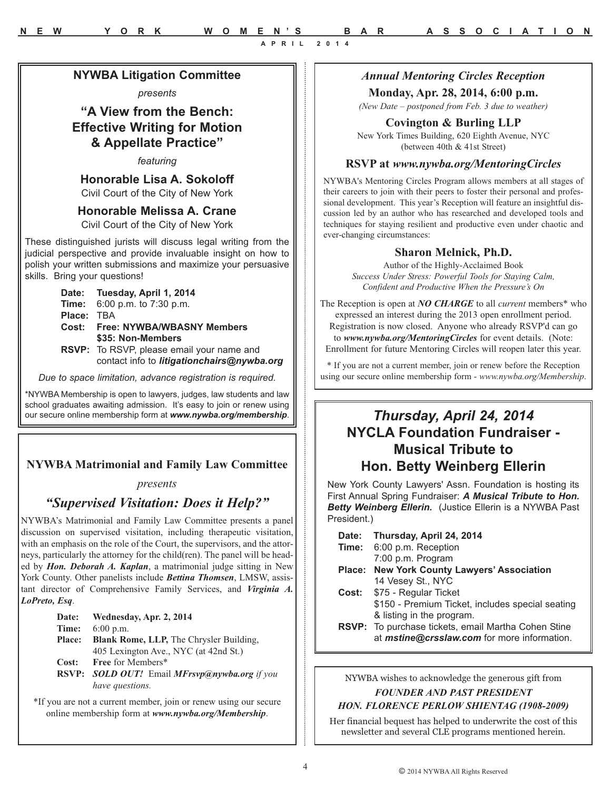*Annual Mentoring Circles Reception*

#### **Monday, Apr. 28, 2014, 6:00 p.m.**

*(New Date – postponed from Feb. 3 due to weather)*

#### **Covington & Burling LLP**

New York Times Building, 620 Eighth Avenue, NYC (between 40th & 41st Street)

#### **RSVP at** *www.nywba.org/MentoringCircles*

NYWBA's Mentoring Circles Program allows members at all stages of their careers to join with their peers to foster their personal and professional development. This year's Reception will feature an insightful discussion led by an author who has researched and developed tools and techniques for staying resilient and productive even under chaotic and ever-changing circumstances:

#### **Sharon Melnick, Ph.D.**

Author of the Highly-Acclaimed Book *Success Under Stress: Powerful Tools for Staying Calm, Confident and Productive When the Pressure's On*

The Reception is open at *NO CHARGE* to all *current* members\* who expressed an interest during the 2013 open enrollment period. Registration is now closed. Anyone who already RSVP'd can go to *www.nywba.org/MentoringCircles* for event details. (Note: Enrollment for future Mentoring Circles will reopen later this year.

\* If you are not a current member, join or renew before the Reception using our secure online membership form - *www.nywba.org/Membership*.

# **NYCLA Foundation Fundraiser - Musical Tribute to Hon. Betty Weinberg Ellerin**

New York County Lawyers' Assn. Foundation is hosting its First Annual Spring Fundraiser: *A Musical Tribute to Hon. Betty Weinberg Ellerin.* (Justice Ellerin is a NYWBA Past President.)

**Date: Thursday, April 24, 2014**

- **Time:** 6:00 p.m. Reception 7:00 p.m. Program
- **Place: New York County Lawyers' Association**  14 Vesey St., NYC
- **Cost:** \$75 Regular Ticket \$150 - Premium Ticket, includes special seating & listing in the program.
- **RSVP:** To purchase tickets, email Martha Cohen Stine at *mstine@crsslaw.com* for more information.

NYWBA wishes to acknowledge the generous gift from

*FOUNDER AND PAST PRESIDENT HON. FLORENCE PERLOW SHIENTAG (1908-2009)* 

Her financial bequest has helped to underwrite the cost of this newsletter and several CLE programs mentioned herein.

**Honorable Lisa A. Sokoloff** Civil Court of the City of New York

**NYWBA Litigation Committee** *presents* **"A View from the Bench: Effective Writing for Motion & Appellate Practice"** *featuring*

**Honorable Melissa A. Crane** Civil Court of the City of New York

These distinguished jurists will discuss legal writing from the judicial perspective and provide invaluable insight on how to polish your written submissions and maximize your persuasive skills. Bring your questions!

> **Date: Tuesday, April 1, 2014 Time:** 6:00 p.m. to 7:30 p.m. **Place:** TBA **Cost: Free: NYWBA/WBASNY Members \$35: Non-Members RSVP:** To RSVP, please email your name and contact info to *litigationchairs@nywba.org*

*Due to space limitation, advance registration is required.* 

\*NYWBA Membership is open to lawyers, judges, law students and law school graduates awaiting admission. It's easy to join or renew using our secure online membership form at *www.nywba.org/membership*. *Thursday, April 24, 2014*

#### **NYWBA Matrimonial and Family Law Committee**

#### *presents*

### *"Supervised Visitation: Does it Help?"*

NYWBA's Matrimonial and Family Law Committee presents a panel discussion on supervised visitation, including therapeutic visitation, with an emphasis on the role of the Court, the supervisors, and the attorneys, particularly the attorney for the child(ren). The panel will be headed by *Hon. Deborah A. Kaplan*, a matrimonial judge sitting in New York County. Other panelists include *Bettina Thomsen*, LMSW, assistant director of Comprehensive Family Services, and *Virginia A. LoPreto, Esq*.

| Date:         | Wednesday, Apr. 2, 2014                              |
|---------------|------------------------------------------------------|
| Time:         | $6:00$ p.m.                                          |
| <b>Place:</b> | <b>Blank Rome, LLP, The Chrysler Building,</b>       |
|               | 405 Lexington Ave., NYC (at 42nd St.)                |
| Cost:         | <b>Free for Members*</b>                             |
|               | <b>RSVP:</b> SOLD OUT! Email MFrsvp@nywba.org if you |
|               | have questions.                                      |

\*If you are not a current member, join or renew using our secure online membership form at *www.nywba.org/Membership*.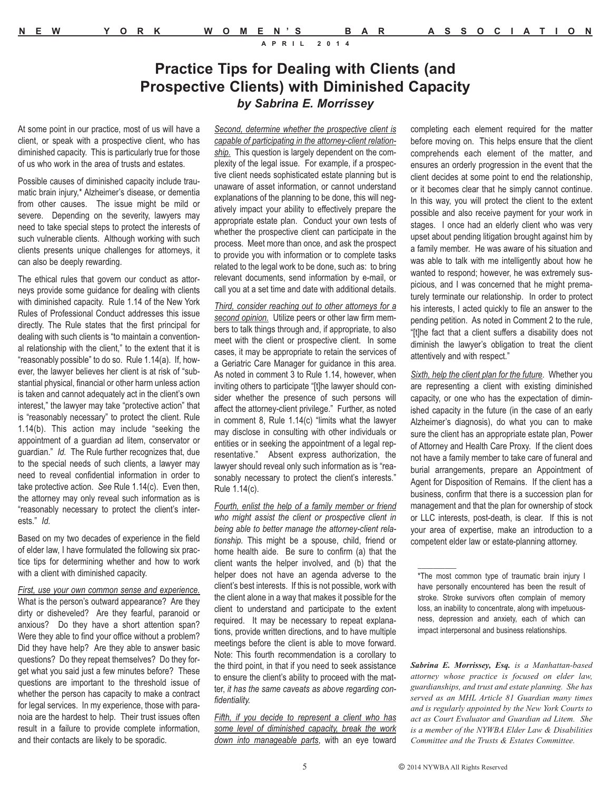# **Practice Tips for Dealing with Clients (and Prospective Clients) with Diminished Capacity** *by Sabrina E. Morrissey*

At some point in our practice, most of us will have a client, or speak with a prospective client, who has diminished capacity. This is particularly true for those of us who work in the area of trusts and estates.

Possible causes of diminished capacity include traumatic brain injury,\* Alzheimer's disease, or dementia from other causes. The issue might be mild or severe. Depending on the severity, lawyers may need to take special steps to protect the interests of such vulnerable clients. Although working with such clients presents unique challenges for attorneys, it can also be deeply rewarding.

The ethical rules that govern our conduct as attorneys provide some guidance for dealing with clients with diminished capacity. Rule 1.14 of the New York Rules of Professional Conduct addresses this issue directly. The Rule states that the first principal for dealing with such clients is "to maintain a conventional relationship with the client," to the extent that it is "reasonably possible" to do so. Rule 1.14(a). If, however, the lawyer believes her client is at risk of "substantial physical, financial or other harm unless action is taken and cannot adequately act in the client's own interest," the lawyer may take "protective action" that is "reasonably necessary" to protect the client. Rule 1.14(b). This action may include "seeking the appointment of a guardian ad litem, conservator or guardian." *Id.* The Rule further recognizes that, due to the special needs of such clients, a lawyer may need to reveal confidential information in order to take protective action. *See* Rule 1.14(c). Even then, the attorney may only reveal such information as is "reasonably necessary to protect the client's interests." *Id.*

Based on my two decades of experience in the field of elder law, I have formulated the following six practice tips for determining whether and how to work with a client with diminished capacity.

*First, use your own common sense and experience.* What is the person's outward appearance? Are they dirty or disheveled? Are they fearful, paranoid or anxious? Do they have a short attention span? Were they able to find your office without a problem? Did they have help? Are they able to answer basic questions? Do they repeat themselves? Do they forget what you said just a few minutes before? These questions are important to the threshold issue of whether the person has capacity to make a contract for legal services. In my experience, those with paranoia are the hardest to help. Their trust issues often result in a failure to provide complete information, and their contacts are likely to be sporadic.

*Second, determine whether the prospective client is capable of participating in the attorney-client relationship.* This question is largely dependent on the complexity of the legal issue. For example, if a prospective client needs sophisticated estate planning but is unaware of asset information, or cannot understand explanations of the planning to be done, this will negatively impact your ability to effectively prepare the appropriate estate plan. Conduct your own tests of whether the prospective client can participate in the process. Meet more than once, and ask the prospect to provide you with information or to complete tasks related to the legal work to be done, such as: to bring relevant documents, send information by e-mail, or call you at a set time and date with additional details.

*Third, consider reaching out to other attorneys for a second opinion.* Utilize peers or other law firm members to talk things through and, if appropriate, to also meet with the client or prospective client. In some cases, it may be appropriate to retain the services of a Geriatric Care Manager for guidance in this area. As noted in comment 3 to Rule 1.14, however, when inviting others to participate "[t]he lawyer should consider whether the presence of such persons will affect the attorney-client privilege." Further, as noted in comment 8, Rule 1.14(c) "limits what the lawyer may disclose in consulting with other individuals or entities or in seeking the appointment of a legal representative." Absent express authorization, the lawyer should reveal only such information as is "reasonably necessary to protect the client's interests." Rule 1.14(c).

*Fourth, enlist the help of a family member or friend who might assist the client or prospective client in being able to better manage the attorney-client relationship.* This might be a spouse, child, friend or home health aide. Be sure to confirm (a) that the client wants the helper involved, and (b) that the helper does not have an agenda adverse to the client's best interests. If this is not possible, work with the client alone in a way that makes it possible for the client to understand and participate to the extent required. It may be necessary to repeat explanations, provide written directions, and to have multiple meetings before the client is able to move forward. Note: This fourth recommendation is a corollary to the third point, in that if you need to seek assistance to ensure the client's ability to proceed with the matter, *it has the same caveats as above regarding confidentiality.*

*Fifth, if you decide to represent a client who has some level of diminished capacity, break the work down into manageable parts*, with an eye toward completing each element required for the matter before moving on. This helps ensure that the client comprehends each element of the matter, and ensures an orderly progression in the event that the client decides at some point to end the relationship, or it becomes clear that he simply cannot continue. In this way, you will protect the client to the extent possible and also receive payment for your work in stages. I once had an elderly client who was very upset about pending litigation brought against him by a family member. He was aware of his situation and was able to talk with me intelligently about how he wanted to respond; however, he was extremely suspicious, and I was concerned that he might prematurely terminate our relationship. In order to protect his interests, I acted quickly to file an answer to the pending petition. As noted in Comment 2 to the rule, "[t]he fact that a client suffers a disability does not diminish the lawyer's obligation to treat the client attentively and with respect."

*Sixth, help the client plan for the future*. Whether you are representing a client with existing diminished capacity, or one who has the expectation of diminished capacity in the future (in the case of an early Alzheimer's diagnosis), do what you can to make sure the client has an appropriate estate plan, Power of Attorney and Health Care Proxy. If the client does not have a family member to take care of funeral and burial arrangements, prepare an Appointment of Agent for Disposition of Remains. If the client has a business, confirm that there is a succession plan for management and that the plan for ownership of stock or LLC interests, post-death, is clear. If this is not your area of expertise, make an introduction to a competent elder law or estate-planning attorney.

*Sabrina E. Morrissey, Esq. is a Manhattan-based attorney whose practice is focused on elder law, guardianships, and trust and estate planning. She has served as an MHL Article 81 Guardian many times and is regularly appointed by the New York Courts to act as Court Evaluator and Guardian ad Litem. She is a member of the NYWBA Elder Law & Disabilities Committee and the Trusts & Estates Committee.*

 $\frac{1}{2}$ 

<sup>\*</sup>The most common type of traumatic brain injury I have personally encountered has been the result of stroke. Stroke survivors often complain of memory loss, an inability to concentrate, along with impetuousness, depression and anxiety, each of which can impact interpersonal and business relationships.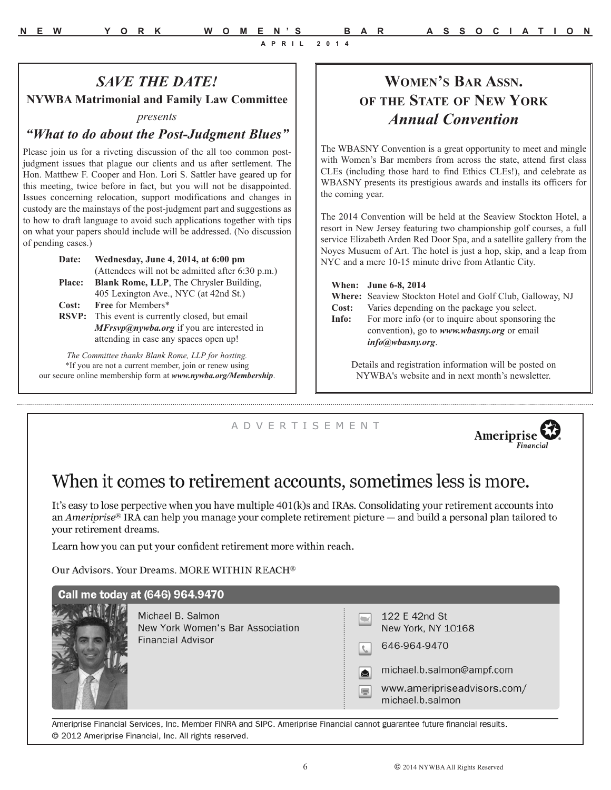# *SAVE THE DATE!*

**NYWBA Matrimonial and Family Law Committee** 

#### *presents*

#### *"What to do about the Post-Judgment Blues"*

Please join us for a riveting discussion of the all too common postjudgment issues that plague our clients and us after settlement. The Hon. Matthew F. Cooper and Hon. Lori S. Sattler have geared up for this meeting, twice before in fact, but you will not be disappointed. Issues concerning relocation, support modifications and changes in custody are the mainstays of the post-judgment part and suggestions as to how to draft language to avoid such applications together with tips on what your papers should include will be addressed. (No discussion of pending cases.)

| Wednesday, June 4, 2014, at 6:00 pm                    |
|--------------------------------------------------------|
| (Attendees will not be admitted after 6:30 p.m.)       |
| <b>Blank Rome, LLP</b> , The Chrysler Building,        |
| 405 Lexington Ave., NYC (at 42nd St.)                  |
| Free for Members*                                      |
| <b>RSVP:</b> This event is currently closed, but email |
| <i>MFrsvp@nywba.org</i> if you are interested in       |
| attending in case any spaces open up!                  |
|                                                        |

*The Committee thanks Blank Rome, LLP for hosting.* \*If you are not a current member, join or renew using our secure online membership form at *www.nywba.org/Membership*.

# **WOMEN'S BAR ASSN. OF THE STATE OF NEW YORK** *Annual Convention*

The WBASNY Convention is a great opportunity to meet and mingle with Women's Bar members from across the state, attend first class CLEs (including those hard to find Ethics CLEs!), and celebrate as WBASNY presents its prestigious awards and installs its officers for the coming year.

The 2014 Convention will be held at the Seaview Stockton Hotel, a resort in New Jersey featuring two championship golf courses, a full service Elizabeth Arden Red Door Spa, and a satellite gallery from the Noyes Musuem of Art. The hotel is just a hop, skip, and a leap from NYC and a mere 10-15 minute drive from Atlantic City.

**When: June 6-8, 2014** 

**Where:** Seaview Stockton Hotel and Golf Club, Galloway, NJ

**Cost:** Varies depending on the package you select.

**Info:** For more info (or to inquire about sponsoring the convention), go to *www.wbasny.org* or email *info@wbasny.org*.

Details and registration information will be posted on NYWBA's website and in next month's newsletter.

#### A D V E R T I S E M E N T



# When it comes to retirement accounts, sometimes less is more.

It's easy to lose perpective when you have multiple 401(k)s and IRAs. Consolidating your retirement accounts into an Ameriprise® IRA can help you manage your complete retirement picture — and build a personal plan tailored to vour retirement dreams.

Learn how you can put your confident retirement more within reach.

Our Advisors. Your Dreams. MORE WITHIN REACH®

# Call me today at (646) 964.9470



Michael B. Salmon New York Women's Bar Association **Financial Advisor** 

|               | 122 E 42nd St<br>New York, NY 10168 |
|---------------|-------------------------------------|
| $\mathcal{L}$ | 646-964-9470                        |
| 囟             | michael.b.salmon@ampf.com           |
|               | www.ameripriseadvisors.co           |

s.com/ michael.b.salmon

Ameriprise Financial Services, Inc. Member FINRA and SIPC. Ameriprise Financial cannot guarantee future financial results. @ 2012 Ameriprise Financial, Inc. All rights reserved.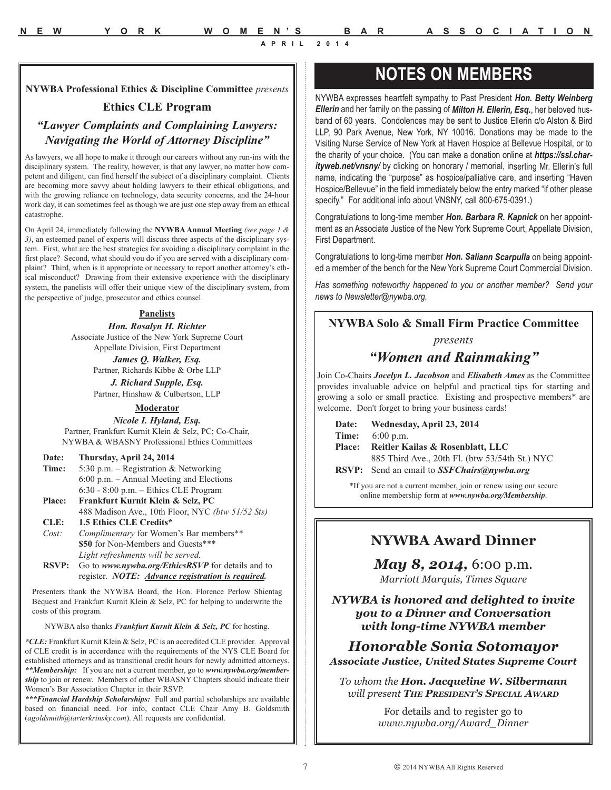**NYWBA Professional Ethics & Discipline Committee** *presents*

#### **Ethics CLE Program**

#### *"Lawyer Complaints and Complaining Lawyers: Navigating the World of Attorney Discipline"*

As lawyers, we all hope to make it through our careers without any run-ins with the disciplinary system. The reality, however, is that any lawyer, no matter how competent and diligent, can find herself the subject of a disciplinary complaint. Clients are becoming more savvy about holding lawyers to their ethical obligations, and with the growing reliance on technology, data security concerns, and the 24-hour work day, it can sometimes feel as though we are just one step away from an ethical catastrophe.

On April 24, immediately following the **NYWBA Annual Meeting** *(see page 1 & 3)*, an esteemed panel of experts will discuss three aspects of the disciplinary system. First, what are the best strategies for avoiding a disciplinary complaint in the first place? Second, what should you do if you are served with a disciplinary complaint? Third, when is it appropriate or necessary to report another attorney's ethical misconduct? Drawing from their extensive experience with the disciplinary system, the panelists will offer their unique view of the disciplinary system, from the perspective of judge, prosecutor and ethics counsel.

#### **Panelists**

*Hon. Rosalyn H. Richter* Associate Justice of the New York Supreme Court Appellate Division, First Department

> *James Q. Walker, Esq.* Partner, Richards Kibbe & Orbe LLP *J. Richard Supple, Esq.*

> Partner, Hinshaw & Culbertson, LLP

**Moderator**

*Nicole I. Hyland, Esq.* Partner, Frankfurt Kurnit Klein & Selz, PC; Co-Chair,

NYWBA & WBASNY Professional Ethics Committees

**Date: Thursday, April 24, 2014**

**Time:** 5:30 p.m. – Registration & Networking 6:00 p.m. – Annual Meeting and Elections 6:30 - 8:00 p.m. – Ethics CLE Program

**Place: Frankfurt Kurnit Klein & Selz, PC** 488 Madison Ave., 10th Floor, NYC *(btw 51/52 Sts)* **CLE: 1.5 Ethics CLE Credits\***

*Cost: Complimentary* for Women's Bar members\*\* **\$50** for Non-Members and Guests\*\*\* *Light refreshments will be served.*

**RSVP:** Go to *www.nywba.org/EthicsRSVP* for details and to register. *NOTE: Advance registration is required.*

Presenters thank the NYWBA Board, the Hon. Florence Perlow Shientag Bequest and Frankfurt Kurnit Klein & Selz, PC for helping to underwrite the costs of this program.

NYWBA also thanks *Frankfurt Kurnit Klein & Selz, PC* for hosting.

*\*CLE:* Frankfurt Kurnit Klein & Selz, PC is an accredited CLE provider. Approval of CLE credit is in accordance with the requirements of the NYS CLE Board for established attorneys and as transitional credit hours for newly admitted attorneys. *\*\*Membership:* If you are not a current member, go to *www.nywba.org/membership* to join or renew. Members of other WBASNY Chapters should indicate their Women's Bar Association Chapter in their RSVP.

*\*\*\*Financial Hardship Scholarships:* Full and partial scholarships are available based on financial need. For info, contact CLE Chair Amy B. Goldsmith (*agoldsmith@tarterkrinsky.com*). All requests are confidential.

# **NOTES ON MEMBERS**

NYWBA expresses heartfelt sympathy to Past President *Hon. Betty Weinberg Ellerin* and her family on the passing of *Milton H. Ellerin, Esq.*, her beloved husband of 60 years. Condolences may be sent to Justice Ellerin c/o Alston & Bird LLP, 90 Park Avenue, New York, NY 10016. Donations may be made to the Visiting Nurse Service of New York at Haven Hospice at Bellevue Hospital, or to the charity of your choice. (You can make a donation online at *https://ssl.charityweb.net/vnsny/* by clicking on honorary / memorial, inserting Mr. Ellerin's full name, indicating the "purpose" as hospice/palliative care, and inserting "Haven Hospice/Bellevue" in the field immediately below the entry marked "if other please specify." For additional info about VNSNY, call 800-675-0391.)

Congratulations to long-time member *Hon. Barbara R. Kapnick* on her appointment as an Associate Justice of the New York Supreme Court, Appellate Division, First Department.

Congratulations to long-time member *Hon. Saliann Scarpulla* on being appointed a member of the bench for the New York Supreme Court Commercial Division.

*Has something noteworthy happened to you or another member? Send your news to Newsletter@nywba.org.*

#### **NYWBA Solo & Small Firm Practice Committee**

#### *presents*

#### *"Women and Rainmaking"*

Join Co-Chairs *Jocelyn L. Jacobson* and *Elisabeth Ames* as the Committee provides invaluable advice on helpful and practical tips for starting and growing a solo or small practice. Existing and prospective members\* are welcome. Don't forget to bring your business cards!

**Date: Wednesday, April 23, 2014 Time:** 6:00 p.m. **Place: Reitler Kailas & Rosenblatt, LLC** 885 Third Ave., 20th Fl. (btw 53/54th St.) NYC **RSVP:** Send an email to *SSFChairs@nywba.org* 

> \*If you are not a current member, join or renew using our secure online membership form at *www.nywba.org/Membership*.

### **NYWBA Award Dinner**

*May 8, 2014,* 6:00 p.m. *Marriott Marquis, Times Square*

*NYWBA is honored and delighted to invite you to a Dinner and Conversation with long-time NYWBA member*

*Honorable Sonia Sotomayor Associate Justice, United States Supreme Court*

*To whom the Hon. Jacqueline W. Silbermann will present THE PRESIDENT'S SPECIAL AWARD*

> For details and to register go to *www.nywba.org/Award\_Dinner*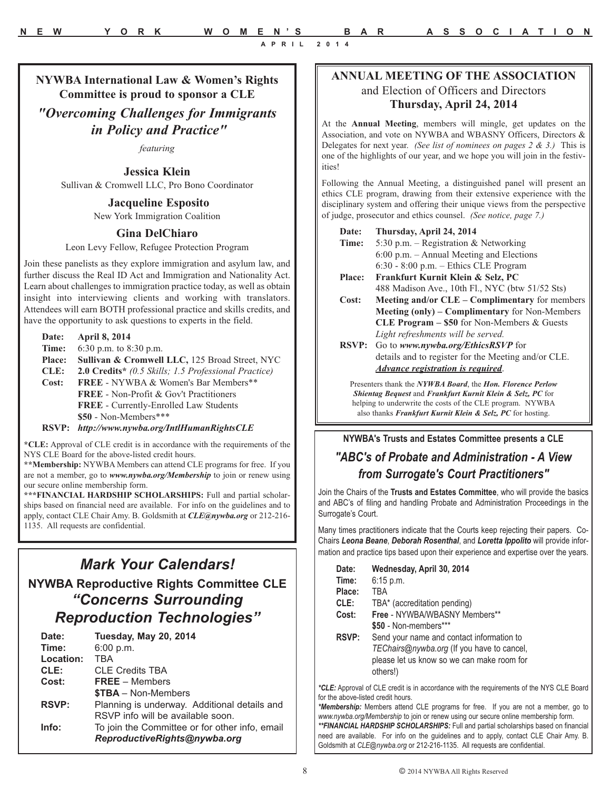**NYWBA International Law & Women's Rights Committee is proud to sponsor a CLE** 

# *"Overcoming Challenges for Immigrants in Policy and Practice"*

*featuring*

**Jessica Klein**

Sullivan & Cromwell LLC, Pro Bono Coordinator

**Jacqueline Esposito** New York Immigration Coalition

#### **Gina DelChiaro**

Leon Levy Fellow, Refugee Protection Program

Join these panelists as they explore immigration and asylum law, and further discuss the Real ID Act and Immigration and Nationality Act. Learn about challenges to immigration practice today, as well as obtain insight into interviewing clients and working with translators. Attendees will earn BOTH professional practice and skills credits, and have the opportunity to ask questions to experts in the field.

- **Date: April 8, 2014**
- **Time:** 6:30 p.m. to 8:30 p.m.
- **Place: Sullivan & Cromwell LLC,** 125 Broad Street, NYC
- **CLE: 2.0 Credits\*** *(0.5 Skills; 1.5 Professional Practice)*
- **Cost: FREE** NYWBA & Women's Bar Members\*\* **FREE** - Non-Profit & Gov't Practitioners **FREE** - Currently-Enrolled Law Students **\$50** - Non-Members\*\*\*
- **RSVP:** *http://www.nywba.org/IntlHumanRightsCLE*

**\*CLE:** Approval of CLE credit is in accordance with the requirements of the NYS CLE Board for the above-listed credit hours.

**\*\*Membership:** NYWBA Members can attend CLE programs for free. If you are not a member, go to *www.nywba.org/Membership* to join or renew using our secure online membership form.

**\*\*\*FINANCIAL HARDSHIP SCHOLARSHIPS:** Full and partial scholarships based on financial need are available. For info on the guidelines and to apply, contact CLE Chair Amy. B. Goldsmith at *CLE@nywba.org* or 212-216- 1135. All requests are confidential.

# *Mark Your Calendars!* **NYWBA Reproductive Rights Committee CLE** *"Concerns Surrounding Reproduction Technologies"*

| Date:        | <b>Tuesday, May 20, 2014</b>                   |
|--------------|------------------------------------------------|
| Time:        | 6:00 p.m.                                      |
| Location:    | TBA                                            |
| CLE:         | <b>CLE Credits TBA</b>                         |
| Cost:        | $FREE – Members$                               |
|              | <b>\$TBA</b> – Non-Members                     |
| <b>RSVP:</b> | Planning is underway. Additional details and   |
|              | RSVP info will be available soon.              |
| Info:        | To join the Committee or for other info, email |
|              | ReproductiveRights@nywba.org                   |

#### **ANNUAL MEETING OF THE ASSOCIATION** and Election of Officers and Directors **Thursday, April 24, 2014**

At the **Annual Meeting**, members will mingle, get updates on the Association, and vote on NYWBA and WBASNY Officers, Directors & Delegates for next year. *(See list of nominees on pages 2 & 3.)* This is one of the highlights of our year, and we hope you will join in the festivities!

Following the Annual Meeting, a distinguished panel will present an ethics CLE program, drawing from their extensive experience with the disciplinary system and offering their unique views from the perspective of judge, prosecutor and ethics counsel. *(See notice, page 7.)*

| Date:         | Thursday, April 24, 2014                              |
|---------------|-------------------------------------------------------|
| Time:         | 5:30 p.m. – Registration & Networking                 |
|               | $6:00$ p.m. – Annual Meeting and Elections            |
|               | $6:30 - 8:00$ p.m. - Ethics CLE Program               |
| <b>Place:</b> | Frankfurt Kurnit Klein & Selz, PC                     |
|               | 488 Madison Ave., 10th Fl., NYC (btw 51/52 Sts)       |
| Cost:         | Meeting and/or CLE - Complimentary for members        |
|               | <b>Meeting (only) – Complimentary</b> for Non-Members |
|               | <b>CLE Program – \$50</b> for Non-Members $\&$ Guests |
|               | Light refreshments will be served.                    |
| <b>RSVP:</b>  | Go to www.nywba.org/EthicsRSVP for                    |
|               | details and to register for the Meeting and/or CLE.   |

Presenters thank the *NYWBA Board*, the *Hon. Florence Perlow Shientag Bequest* and *Frankfurt Kurnit Klein & Selz, PC* for helping to underwrite the costs of the CLE program. NYWBA also thanks *Frankfurt Kurnit Klein & Selz, PC* for hosting.

*Advance registration is required*.

# **NYWBA's Trusts and Estates Committee presents a CLE**  *"ABC's of Probate and Administration - A View from Surrogate's Court Practitioners"*

Join the Chairs of the **Trusts and Estates Committee**, who will provide the basics and ABC's of filing and handling Probate and Administration Proceedings in the Surrogate's Court.

Many times practitioners indicate that the Courts keep rejecting their papers. Co-Chairs *Leona Beane*, *Deborah Rosenthal*, and *Loretta Ippolito* will provide information and practice tips based upon their experience and expertise over the years.

| Date:  | Wednesday, April 30, 2014                                                                |
|--------|------------------------------------------------------------------------------------------|
| Time:  | $6:15$ p.m.                                                                              |
| Place: | TBA                                                                                      |
| CLE:   | TBA* (accreditation pending)                                                             |
| Cost:  | Free - NYWBA/WBASNY Members**                                                            |
|        | \$50 - Non-members***                                                                    |
| RSVP:  | Send your name and contact information to                                                |
|        | TEChairs@nywba.org (If you have to cancel,<br>please let us know so we can make room for |
|        | others!)                                                                                 |

*\*CLE:* Approval of CLE credit is in accordance with the requirements of the NYS CLE Board for the above-listed credit hours.

*\*Membership:* Members attend CLE programs for free. If you are not a member, go to *www.nywba.org/Membership* to join or renew using our secure online membership form. *\*\*FINANCIAL HARDSHIP SCHOLARSHIPS:* Full and partial scholarships based on financial need are available. For info on the guidelines and to apply, contact CLE Chair Amy. B. Goldsmith at *CLE@nywba.org* or 212-216-1135. All requests are confidential.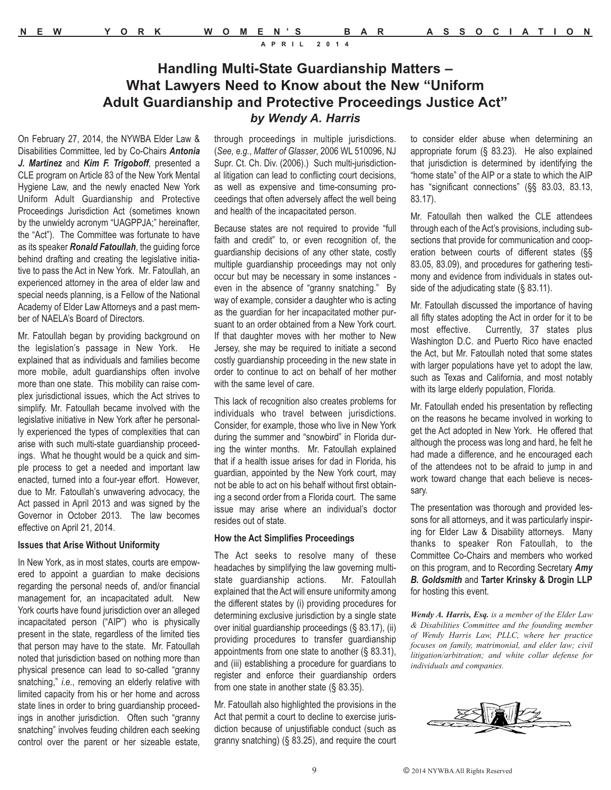# **Handling Multi-State Guardianship Matters – What Lawyers Need to Know about the New "Uniform Adult Guardianship and Protective Proceedings Justice Act"** *by Wendy A. Harris*

On February 27, 2014, the NYWBA Elder Law & Disabilities Committee, led by Co-Chairs *Antonia J. Martinez* and *Kim F. Trigoboff*, presented a CLE program on Article 83 of the New York Mental Hygiene Law, and the newly enacted New York Uniform Adult Guardianship and Protective Proceedings Jurisdiction Act (sometimes known by the unwieldy acronym "UAGPPJA;" hereinafter, the "Act"). The Committee was fortunate to have as its speaker *Ronald Fatoullah*, the guiding force behind drafting and creating the legislative initiative to pass the Act in New York. Mr. Fatoullah, an experienced attorney in the area of elder law and special needs planning, is a Fellow of the National Academy of Elder Law Attorneys and a past member of NAELA's Board of Directors.

Mr. Fatoullah began by providing background on the legislation's passage in New York. He explained that as individuals and families become more mobile, adult guardianships often involve more than one state. This mobility can raise complex jurisdictional issues, which the Act strives to simplify. Mr. Fatoullah became involved with the legislative initiative in New York after he personally experienced the types of complexities that can arise with such multi-state guardianship proceedings. What he thought would be a quick and simple process to get a needed and important law enacted, turned into a four-year effort. However, due to Mr. Fatoullah's unwavering advocacy, the Act passed in April 2013 and was signed by the Governor in October 2013. The law becomes effective on April 21, 2014.

#### **Issues that Arise Without Uniformity**

In New York, as in most states, courts are empowered to appoint a guardian to make decisions regarding the personal needs of, and/or financial management for, an incapacitated adult. New York courts have found jurisdiction over an alleged incapacitated person ("AIP") who is physically present in the state, regardless of the limited ties that person may have to the state. Mr. Fatoullah noted that jurisdiction based on nothing more than physical presence can lead to so-called "granny snatching," *i.e.*, removing an elderly relative with limited capacity from his or her home and across state lines in order to bring guardianship proceedings in another jurisdiction. Often such "granny snatching" involves feuding children each seeking control over the parent or her sizeable estate,

through proceedings in multiple jurisdictions. (*See, e.g.*, *Matter of Glasser*, 2006 WL 510096, NJ Supr. Ct. Ch. Div. (2006).) Such multi-jurisdictional litigation can lead to conflicting court decisions, as well as expensive and time-consuming proceedings that often adversely affect the well being and health of the incapacitated person.

Because states are not required to provide "full faith and credit" to, or even recognition of, the guardianship decisions of any other state, costly multiple guardianship proceedings may not only occur but may be necessary in some instances even in the absence of "granny snatching." By way of example, consider a daughter who is acting as the guardian for her incapacitated mother pursuant to an order obtained from a New York court. If that daughter moves with her mother to New Jersey, she may be required to initiate a second costly guardianship proceeding in the new state in order to continue to act on behalf of her mother with the same level of care.

This lack of recognition also creates problems for individuals who travel between jurisdictions. Consider, for example, those who live in New York during the summer and "snowbird" in Florida during the winter months. Mr. Fatoullah explained that if a health issue arises for dad in Florida, his guardian, appointed by the New York court, may not be able to act on his behalf without first obtaining a second order from a Florida court. The same issue may arise where an individual's doctor resides out of state.

#### **How the Act Simplifies Proceedings**

The Act seeks to resolve many of these headaches by simplifying the law governing multistate guardianship actions. Mr. Fatoullah explained that the Act will ensure uniformity among the different states by (i) providing procedures for determining exclusive jurisdiction by a single state over initial guardianship proceedings (§ 83.17), (ii) providing procedures to transfer guardianship appointments from one state to another (§ 83.31), and (iii) establishing a procedure for guardians to register and enforce their guardianship orders from one state in another state (§ 83.35).

Mr. Fatoullah also highlighted the provisions in the Act that permit a court to decline to exercise jurisdiction because of unjustifiable conduct (such as granny snatching) (§ 83.25), and require the court to consider elder abuse when determining an appropriate forum (§ 83.23). He also explained that jurisdiction is determined by identifying the "home state" of the AIP or a state to which the AIP has "significant connections" (§§ 83.03, 83.13, 83.17).

Mr. Fatoullah then walked the CLE attendees through each of the Act's provisions, including subsections that provide for communication and cooperation between courts of different states (§§ 83.05, 83.09), and procedures for gathering testimony and evidence from individuals in states outside of the adjudicating state (§ 83.11).

Mr. Fatoullah discussed the importance of having all fifty states adopting the Act in order for it to be most effective. Currently, 37 states plus Washington D.C. and Puerto Rico have enacted the Act, but Mr. Fatoullah noted that some states with larger populations have yet to adopt the law, such as Texas and California, and most notably with its large elderly population, Florida.

Mr. Fatoullah ended his presentation by reflecting on the reasons he became involved in working to get the Act adopted in New York. He offered that although the process was long and hard, he felt he had made a difference, and he encouraged each of the attendees not to be afraid to jump in and work toward change that each believe is necessary.

The presentation was thorough and provided lessons for all attorneys, and it was particularly inspiring for Elder Law & Disability attorneys. Many thanks to speaker Ron Fatoullah, to the Committee Co-Chairs and members who worked on this program, and to Recording Secretary *Amy B. Goldsmith* and **Tarter Krinsky & Drogin LLP** for hosting this event.

*Wendy A. Harris, Esq. is a member of the Elder Law & Disabilities Committee and the founding member of Wendy Harris Law, PLLC, where her practice focuses on family, matrimonial, and elder law; civil litigation/arbitration; and white collar defense for individuals and companies.* 

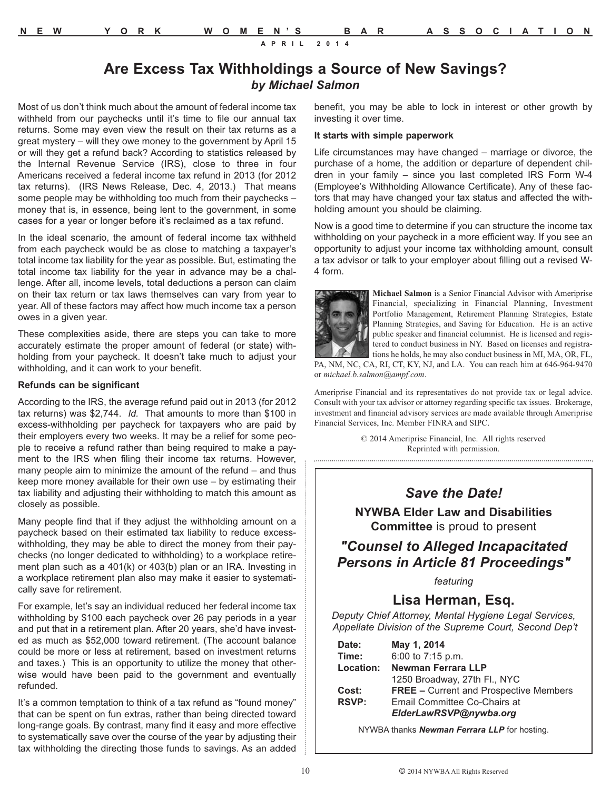# **Are Excess Tax Withholdings a Source of New Savings?** *by Michael Salmon*

Most of us don't think much about the amount of federal income tax withheld from our paychecks until it's time to file our annual tax returns. Some may even view the result on their tax returns as a great mystery – will they owe money to the government by April 15 or will they get a refund back? According to statistics released by the Internal Revenue Service (IRS), close to three in four Americans received a federal income tax refund in 2013 (for 2012 tax returns). (IRS News Release, Dec. 4, 2013.) That means some people may be withholding too much from their paychecks – money that is, in essence, being lent to the government, in some cases for a year or longer before it's reclaimed as a tax refund.

In the ideal scenario, the amount of federal income tax withheld from each paycheck would be as close to matching a taxpayer's total income tax liability for the year as possible. But, estimating the total income tax liability for the year in advance may be a challenge. After all, income levels, total deductions a person can claim on their tax return or tax laws themselves can vary from year to year. All of these factors may affect how much income tax a person owes in a given year.

These complexities aside, there are steps you can take to more accurately estimate the proper amount of federal (or state) withholding from your paycheck. It doesn't take much to adjust your withholding, and it can work to your benefit.

#### **Refunds can be significant**

According to the IRS, the average refund paid out in 2013 (for 2012 tax returns) was \$2,744. *Id.* That amounts to more than \$100 in excess-withholding per paycheck for taxpayers who are paid by their employers every two weeks. It may be a relief for some people to receive a refund rather than being required to make a payment to the IRS when filing their income tax returns. However, many people aim to minimize the amount of the refund – and thus keep more money available for their own use – by estimating their tax liability and adjusting their withholding to match this amount as closely as possible.

Many people find that if they adjust the withholding amount on a paycheck based on their estimated tax liability to reduce excesswithholding, they may be able to direct the money from their paychecks (no longer dedicated to withholding) to a workplace retirement plan such as a 401(k) or 403(b) plan or an IRA. Investing in a workplace retirement plan also may make it easier to systematically save for retirement.

For example, let's say an individual reduced her federal income tax withholding by \$100 each paycheck over 26 pay periods in a year and put that in a retirement plan. After 20 years, she'd have invested as much as \$52,000 toward retirement. (The account balance could be more or less at retirement, based on investment returns and taxes.) This is an opportunity to utilize the money that otherwise would have been paid to the government and eventually refunded.

It's a common temptation to think of a tax refund as "found money" that can be spent on fun extras, rather than being directed toward long-range goals. By contrast, many find it easy and more effective to systematically save over the course of the year by adjusting their tax withholding the directing those funds to savings. As an added

benefit, you may be able to lock in interest or other growth by investing it over time.

#### **It starts with simple paperwork**

Life circumstances may have changed – marriage or divorce, the purchase of a home, the addition or departure of dependent children in your family – since you last completed IRS Form W-4 (Employee's Withholding Allowance Certificate). Any of these factors that may have changed your tax status and affected the withholding amount you should be claiming.

Now is a good time to determine if you can structure the income tax withholding on your paycheck in a more efficient way. If you see an opportunity to adjust your income tax withholding amount, consult a tax advisor or talk to your employer about filling out a revised W-4 form.



**Michael Salmon** is a Senior Financial Advisor with Ameriprise Financial, specializing in Financial Planning, Investment Portfolio Management, Retirement Planning Strategies, Estate Planning Strategies, and Saving for Education. He is an active public speaker and financial columnist. He is licensed and registered to conduct business in NY. Based on licenses and registrations he holds, he may also conduct business in MI, MA, OR, FL,

PA, NM, NC, CA, RI, CT, KY, NJ, and LA. You can reach him at 646-964-9470 or *michael.b.salmon@ampf.com*.

Ameriprise Financial and its representatives do not provide tax or legal advice. Consult with your tax advisor or attorney regarding specific tax issues. Brokerage, investment and financial advisory services are made available through Ameriprise Financial Services, Inc. Member FINRA and SIPC.

> © 2014 Ameriprise Financial, Inc. All rights reserved Reprinted with permission.

### *Save the Date!*

#### **NYWBA Elder Law and Disabilities Committee** is proud to present

# *"Counsel to Alleged Incapacitated Persons in Article 81 Proceedings"*

*featuring*

### **Lisa Herman, Esq.**

*Deputy Chief Attorney, Mental Hygiene Legal Services, Appellate Division of the Supreme Court, Second Dep't*

| Date:        | May 1, 2014                                   |
|--------------|-----------------------------------------------|
| Time:        | 6:00 to 7:15 p.m.                             |
| Location:    | Newman Ferrara LLP                            |
|              | 1250 Broadway, 27th Fl., NYC                  |
| Cost:        | <b>FREE - Current and Prospective Members</b> |
| <b>RSVP:</b> | Email Committee Co-Chairs at                  |
|              | ElderLawRSVP@nywba.org                        |

NYWBA thanks *Newman Ferrara LLP* for hosting.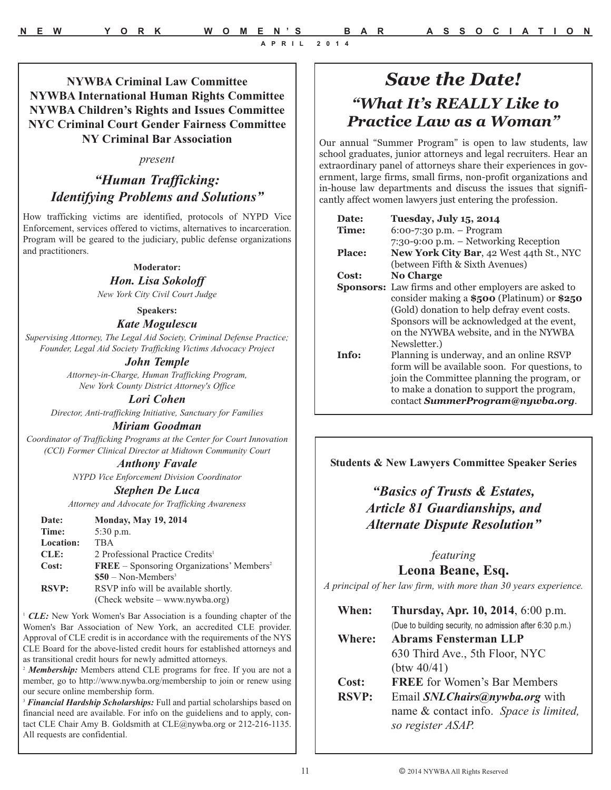# *Save the Date! "What It's REALLY Like to Practice Law as a Woman"*

Our annual "Summer Program" is open to law students, law school graduates, junior attorneys and legal recruiters. Hear an extraordinary panel of attorneys share their experiences in government, large firms, small firms, non-profit organizations and in-house law departments and discuss the issues that significantly affect women lawyers just entering the profession.

| Date:         | Tuesday, July 15, 2014                                      |
|---------------|-------------------------------------------------------------|
| <b>Time:</b>  | $6:00-7:30$ p.m. - Program                                  |
|               | 7:30-9:00 p.m. - Networking Reception                       |
| <b>Place:</b> | New York City Bar, 42 West 44th St., NYC                    |
|               | (between Fifth & Sixth Avenues)                             |
| Cost:         | <b>No Charge</b>                                            |
|               | <b>Sponsors:</b> Law firms and other employers are asked to |
|               | consider making a $$500$ (Platinum) or $$250$               |
|               | (Gold) donation to help defray event costs.                 |
|               | Sponsors will be acknowledged at the event,                 |
|               | on the NYWBA website, and in the NYWBA                      |
|               | Newsletter.)                                                |
| Info:         | Planning is underway, and an online RSVP                    |
|               | form will be available soon. For questions, to              |
|               | join the Committee planning the program, or                 |
|               | to make a donation to support the program,                  |
|               | contact SummerProgram@nywba.org.                            |

**Students & New Lawyers Committee Speaker Series** 

# *"Basics of Trusts & Estates, Article 81 Guardianships, and Alternate Dispute Resolution"*

### *featuring*

**Leona Beane, Esq.**

*A principal of her law firm, with more than 30 years experience.*

| When:         | Thursday, Apr. 10, 2014, 6:00 p.m.                       |
|---------------|----------------------------------------------------------|
|               | (Due to building security, no admission after 6:30 p.m.) |
| <b>Where:</b> | Abrams Fensterman LLP                                    |
|               | 630 Third Ave., 5th Floor, NYC                           |
|               | (btw 40/41)                                              |
| Cost:         | <b>FREE</b> for Women's Bar Members                      |
| <b>RSVP:</b>  | Email SNL Chairs@nywba.org with                          |
|               | name & contact info. Space is limited,                   |
|               | so register ASAP.                                        |

**NYWBA Criminal Law Committee NYWBA International Human Rights Committee NYWBA Children's Rights and Issues Committee NYC Criminal Court Gender Fairness Committee NY Criminal Bar Association**

#### *present*

# *"Human Trafficking: Identifying Problems and Solutions"*

How trafficking victims are identified, protocols of NYPD Vice Enforcement, services offered to victims, alternatives to incarceration. Program will be geared to the judiciary, public defense organizations and practitioners.

#### **Moderator:**

#### *Hon. Lisa Sokoloff*

*New York City Civil Court Judge*

#### **Speakers:** *Kate Mogulescu*

*Supervising Attorney, The Legal Aid Society, Criminal Defense Practice; Founder, Legal Aid Society Trafficking Victims Advocacy Project*

#### *John Temple*

*Attorney-in-Charge, Human Trafficking Program, New York County District Attorney's Office*

#### *Lori Cohen*

*Director, Anti-trafficking Initiative, Sanctuary for Families*

#### *Miriam Goodman*

*Coordinator of Trafficking Programs at the Center for Court Innovation (CCI) Former Clinical Director at Midtown Community Court*

#### *Anthony Favale*

*NYPD Vice Enforcement Division Coordinator*

#### *Stephen De Luca*

*Attorney and Advocate for Trafficking Awareness*

| Date:            | <b>Monday, May 19, 2014</b>                                      |
|------------------|------------------------------------------------------------------|
| Time:            | $5:30$ p.m.                                                      |
| <b>Location:</b> | <b>TBA</b>                                                       |
| CLE:             | 2 Professional Practice Credits <sup>1</sup>                     |
| Cost:            | $\mathbf{FREE}$ – Sponsoring Organizations' Members <sup>2</sup> |
|                  | $$50 - Non-Members3$                                             |
| <b>RSVP:</b>     | RSVP info will be available shortly.                             |
|                  | $(Check website - www.nywba.org)$                                |

<sup>1</sup> CLE: New York Women's Bar Association is a founding chapter of the Women's Bar Association of New York, an accredited CLE provider. Approval of CLE credit is in accordance with the requirements of the NYS CLE Board for the above-listed credit hours for established attorneys and as transitional credit hours for newly admitted attorneys.

<sup>2</sup> Membership: Members attend CLE programs for free. If you are not a member, go to http://www.nywba.org/membership to join or renew using our secure online membership form.

<sup>3</sup> Financial Hardship Scholarships: Full and partial scholarships based on financial need are available. For info on the guideliens and to apply, contact CLE Chair Amy B. Goldsmith at CLE@nywba.org or 212-216-1135. All requests are confidential.